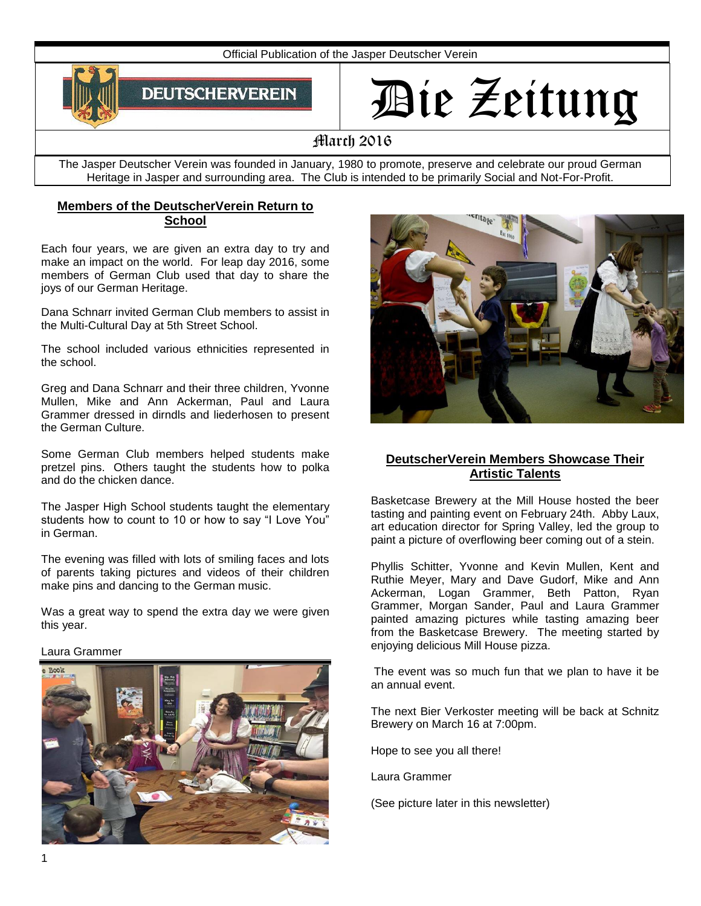Official Publication of the Jasper Deutscher Verein



# Die Zeitung

# March 2016

The Jasper Deutscher Verein was founded in January, 1980 to promote, preserve and celebrate our proud German Heritage in Jasper and surrounding area. The Club is intended to be primarily Social and Not-For-Profit.

# **Members of the DeutscherVerein Return to School**

Each four years, we are given an extra day to try and make an impact on the world. For leap day 2016, some members of German Club used that day to share the joys of our German Heritage.

Dana Schnarr invited German Club members to assist in the Multi-Cultural Day at 5th Street School.

The school included various ethnicities represented in the school.

Greg and Dana Schnarr and their three children, Yvonne Mullen, Mike and Ann Ackerman, Paul and Laura Grammer dressed in dirndls and liederhosen to present the German Culture.

Some German Club members helped students make pretzel pins. Others taught the students how to polka and do the chicken dance.

The Jasper High School students taught the elementary students how to count to 10 or how to say "I Love You" in German.

The evening was filled with lots of smiling faces and lots of parents taking pictures and videos of their children make pins and dancing to the German music.

Was a great way to spend the extra day we were given this year.

#### Laura Grammer





# **DeutscherVerein Members Showcase Their Artistic Talents**

Basketcase Brewery at the Mill House hosted the beer tasting and painting event on February 24th. Abby Laux, art education director for Spring Valley, led the group to paint a picture of overflowing beer coming out of a stein.

Phyllis Schitter, Yvonne and Kevin Mullen, Kent and Ruthie Meyer, Mary and Dave Gudorf, Mike and Ann Ackerman, Logan Grammer, Beth Patton, Ryan Grammer, Morgan Sander, Paul and Laura Grammer painted amazing pictures while tasting amazing beer from the Basketcase Brewery. The meeting started by enjoying delicious Mill House pizza.

The event was so much fun that we plan to have it be an annual event.

The next Bier Verkoster meeting will be back at Schnitz Brewery on March 16 at 7:00pm.

Hope to see you all there!

Laura Grammer

(See picture later in this newsletter)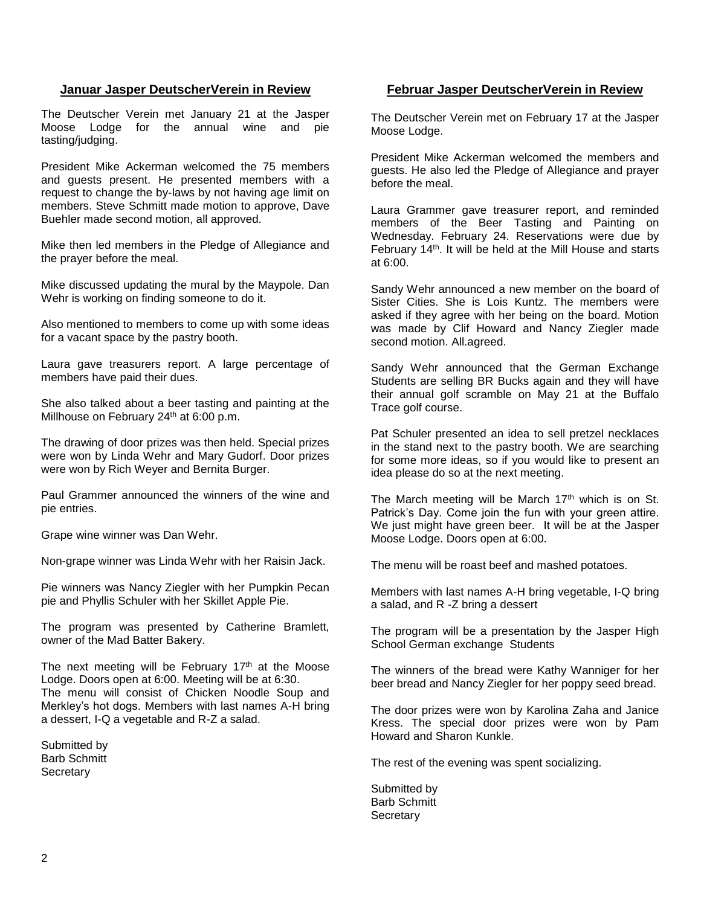## **Januar Jasper DeutscherVerein in Review**

The Deutscher Verein met January 21 at the Jasper Moose Lodge for the annual wine and pie tasting/judging.

President Mike Ackerman welcomed the 75 members and guests present. He presented members with a request to change the by-laws by not having age limit on members. Steve Schmitt made motion to approve, Dave Buehler made second motion, all approved.

Mike then led members in the Pledge of Allegiance and the prayer before the meal.

Mike discussed updating the mural by the Maypole. Dan Wehr is working on finding someone to do it.

Also mentioned to members to come up with some ideas for a vacant space by the pastry booth.

Laura gave treasurers report. A large percentage of members have paid their dues.

She also talked about a beer tasting and painting at the Millhouse on February 24<sup>th</sup> at 6:00 p.m.

The drawing of door prizes was then held. Special prizes were won by Linda Wehr and Mary Gudorf. Door prizes were won by Rich Weyer and Bernita Burger.

Paul Grammer announced the winners of the wine and pie entries.

Grape wine winner was Dan Wehr.

Non-grape winner was Linda Wehr with her Raisin Jack.

Pie winners was Nancy Ziegler with her Pumpkin Pecan pie and Phyllis Schuler with her Skillet Apple Pie.

The program was presented by Catherine Bramlett, owner of the Mad Batter Bakery.

The next meeting will be February  $17<sup>th</sup>$  at the Moose Lodge. Doors open at 6:00. Meeting will be at 6:30. The menu will consist of Chicken Noodle Soup and Merkley's hot dogs. Members with last names A-H bring a dessert, I-Q a vegetable and R-Z a salad.

Submitted by Barb Schmitt **Secretary** 

## **Februar Jasper DeutscherVerein in Review**

The Deutscher Verein met on February 17 at the Jasper Moose Lodge.

President Mike Ackerman welcomed the members and guests. He also led the Pledge of Allegiance and prayer before the meal.

Laura Grammer gave treasurer report, and reminded members of the Beer Tasting and Painting on Wednesday. February 24. Reservations were due by February 14<sup>th</sup>. It will be held at the Mill House and starts at 6:00.

Sandy Wehr announced a new member on the board of Sister Cities. She is Lois Kuntz. The members were asked if they agree with her being on the board. Motion was made by Clif Howard and Nancy Ziegler made second motion. All.agreed.

Sandy Wehr announced that the German Exchange Students are selling BR Bucks again and they will have their annual golf scramble on May 21 at the Buffalo Trace golf course.

Pat Schuler presented an idea to sell pretzel necklaces in the stand next to the pastry booth. We are searching for some more ideas, so if you would like to present an idea please do so at the next meeting.

The March meeting will be March  $17<sup>th</sup>$  which is on St. Patrick's Day. Come join the fun with your green attire. We just might have green beer. It will be at the Jasper Moose Lodge. Doors open at 6:00.

The menu will be roast beef and mashed potatoes.

Members with last names A-H bring vegetable, I-Q bring a salad, and R -Z bring a dessert

The program will be a presentation by the Jasper High School German exchange Students

The winners of the bread were Kathy Wanniger for her beer bread and Nancy Ziegler for her poppy seed bread.

The door prizes were won by Karolina Zaha and Janice Kress. The special door prizes were won by Pam Howard and Sharon Kunkle.

The rest of the evening was spent socializing.

Submitted by Barb Schmitt **Secretary**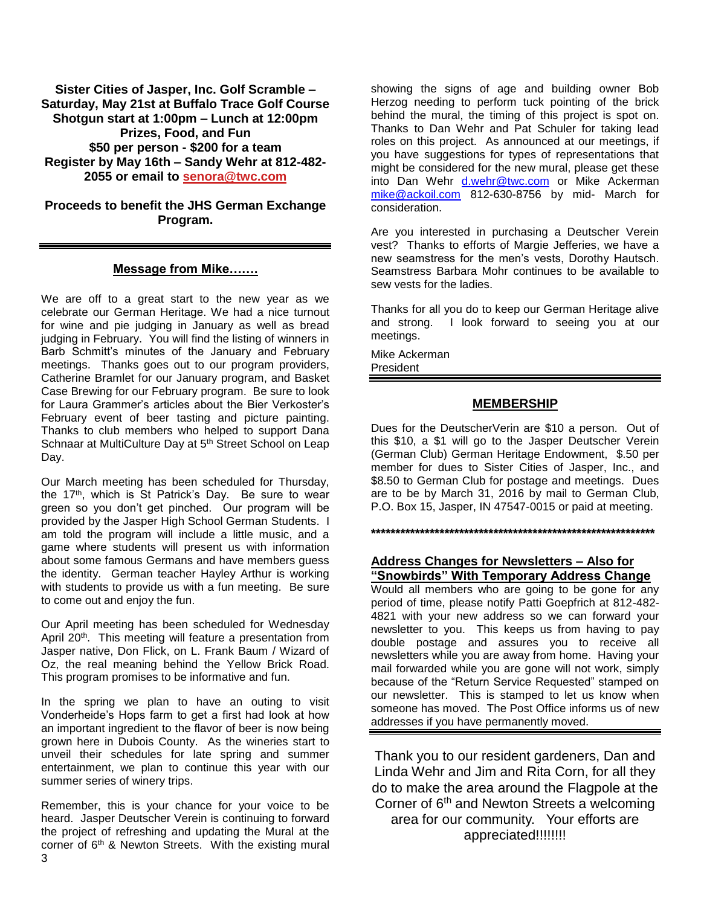**Sister Cities of Jasper, Inc. Golf Scramble – Saturday, May 21st at Buffalo Trace Golf Course Shotgun start at 1:00pm – Lunch at 12:00pm Prizes, Food, and Fun \$50 per person - \$200 for a team Register by May 16th – Sandy Wehr at 812-482- 2055 or email to [senora@twc.com](mailto:senora@twc.com)**

# **Proceeds to benefit the JHS German Exchange Program.**

## **Message from Mike…….**

We are off to a great start to the new year as we celebrate our German Heritage. We had a nice turnout for wine and pie judging in January as well as bread judging in February. You will find the listing of winners in Barb Schmitt's minutes of the January and February meetings. Thanks goes out to our program providers, Catherine Bramlet for our January program, and Basket Case Brewing for our February program. Be sure to look for Laura Grammer's articles about the Bier Verkoster's February event of beer tasting and picture painting. Thanks to club members who helped to support Dana Schnaar at MultiCulture Day at 5<sup>th</sup> Street School on Leap Day.

Our March meeting has been scheduled for Thursday, the 17th, which is St Patrick's Day. Be sure to wear green so you don't get pinched. Our program will be provided by the Jasper High School German Students. I am told the program will include a little music, and a game where students will present us with information about some famous Germans and have members guess the identity. German teacher Hayley Arthur is working with students to provide us with a fun meeting. Be sure to come out and enjoy the fun.

Our April meeting has been scheduled for Wednesday April 20<sup>th</sup>. This meeting will feature a presentation from Jasper native, Don Flick, on L. Frank Baum / Wizard of Oz, the real meaning behind the Yellow Brick Road. This program promises to be informative and fun.

In the spring we plan to have an outing to visit Vonderheide's Hops farm to get a first had look at how an important ingredient to the flavor of beer is now being grown here in Dubois County. As the wineries start to unveil their schedules for late spring and summer entertainment, we plan to continue this year with our summer series of winery trips.

Remember, this is your chance for your voice to be heard. Jasper Deutscher Verein is continuing to forward the project of refreshing and updating the Mural at the corner of 6th & Newton Streets. With the existing mural

showing the signs of age and building owner Bob Herzog needing to perform tuck pointing of the brick behind the mural, the timing of this project is spot on. Thanks to Dan Wehr and Pat Schuler for taking lead roles on this project. As announced at our meetings, if you have suggestions for types of representations that might be considered for the new mural, please get these into Dan Wehr [d.wehr@twc.com](mailto:d.wehr@twc.com) or Mike Ackerman [mike@ackoil.com](mailto:mike@ackoil.com) 812-630-8756 by mid- March for consideration.

Are you interested in purchasing a Deutscher Verein vest? Thanks to efforts of Margie Jefferies, we have a new seamstress for the men's vests, Dorothy Hautsch. Seamstress Barbara Mohr continues to be available to sew vests for the ladies.

Thanks for all you do to keep our German Heritage alive and strong. I look forward to seeing you at our meetings.

Mike Ackerman

President

# **MEMBERSHIP**

Dues for the DeutscherVerin are \$10 a person. Out of this \$10, a \$1 will go to the Jasper Deutscher Verein (German Club) German Heritage Endowment, \$.50 per member for dues to Sister Cities of Jasper, Inc., and \$8.50 to German Club for postage and meetings. Dues are to be by March 31, 2016 by mail to German Club, P.O. Box 15, Jasper, IN 47547-0015 or paid at meeting.

**\*\*\*\*\*\*\*\*\*\*\*\*\*\*\*\*\*\*\*\*\*\*\*\*\*\*\*\*\*\*\*\*\*\*\*\*\*\*\*\*\*\*\*\*\*\*\*\*\*\*\*\*\*\*\*\*\*\***

# **Address Changes for Newsletters – Also for "Snowbirds" With Temporary Address Change**

Would all members who are going to be gone for any period of time, please notify Patti Goepfrich at 812-482- 4821 with your new address so we can forward your newsletter to you. This keeps us from having to pay double postage and assures you to receive all newsletters while you are away from home. Having your mail forwarded while you are gone will not work, simply because of the "Return Service Requested" stamped on our newsletter. This is stamped to let us know when someone has moved. The Post Office informs us of new addresses if you have permanently moved.

Thank you to our resident gardeners, Dan and Linda Wehr and Jim and Rita Corn, for all they do to make the area around the Flagpole at the Corner of 6<sup>th</sup> and Newton Streets a welcoming area for our community. Your efforts are appreciated!!!!!!!!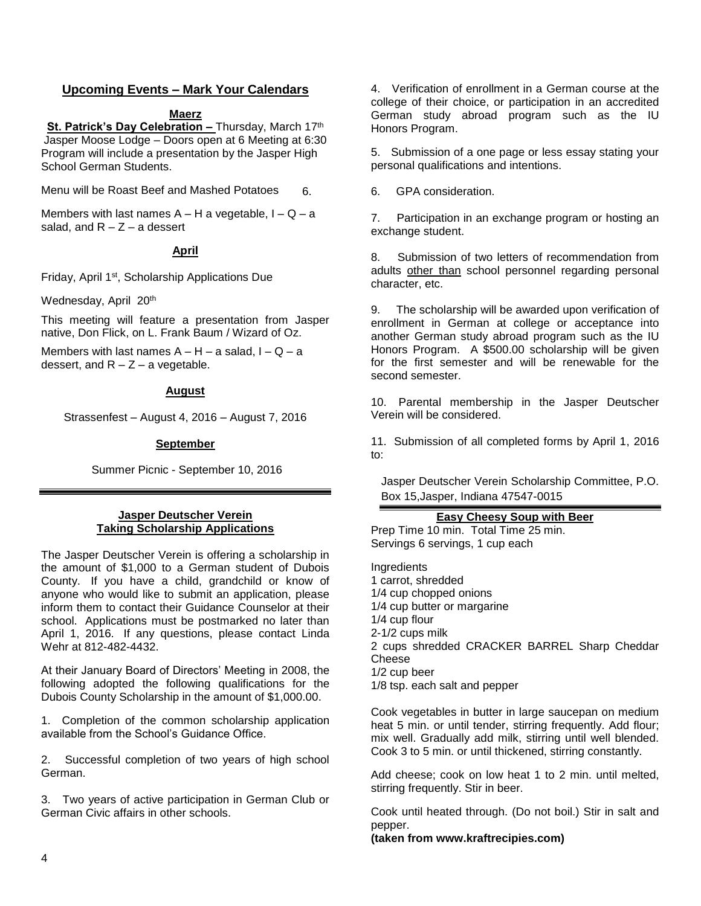# **Upcoming Events – Mark Your Calendars**

#### **Maerz**

**St. Patrick's Day Celebration - Thursday, March 17th** Jasper Moose Lodge – Doors open at 6 Meeting at 6:30 Program will include a presentation by the Jasper High School German Students.

Menu will be Roast Beef and Mashed Potatoes

Members with last names  $A - H$  a vegetable,  $I - Q - a$ salad, and  $R - Z - a$  dessert

## **April**

Friday, April 1st, Scholarship Applications Due

Wednesday, April 20th

This meeting will feature a presentation from Jasper native, Don Flick, on L. Frank Baum / Wizard of Oz.

Members with last names  $A - H - a$  salad,  $I - Q - a$ dessert, and  $R - Z - a$  vegetable.

#### **August**

Strassenfest – August 4, 2016 – August 7, 2016

## **September**

Summer Picnic - September 10, 2016

## **Jasper Deutscher Verein Taking Scholarship Applications**

The Jasper Deutscher Verein is offering a scholarship in the amount of \$1,000 to a German student of Dubois County. If you have a child, grandchild or know of anyone who would like to submit an application, please inform them to contact their Guidance Counselor at their school. Applications must be postmarked no later than April 1, 2016. If any questions, please contact Linda Wehr at 812-482-4432.

At their January Board of Directors' Meeting in 2008, the following adopted the following qualifications for the Dubois County Scholarship in the amount of \$1,000.00.

1. Completion of the common scholarship application available from the School's Guidance Office.

2. Successful completion of two years of high school German.

3. Two years of active participation in German Club or German Civic affairs in other schools.

4. Verification of enrollment in a German course at the college of their choice, or participation in an accredited German study abroad program such as the IU Honors Program.

5. Submission of a one page or less essay stating your personal qualifications and intentions.

6. 6. GPA consideration.

7. Participation in an exchange program or hosting an exchange student.

8. Submission of two letters of recommendation from adults other than school personnel regarding personal character, etc.

9. The scholarship will be awarded upon verification of enrollment in German at college or acceptance into another German study abroad program such as the IU Honors Program. A \$500.00 scholarship will be given for the first semester and will be renewable for the second semester.

10. Parental membership in the Jasper Deutscher Verein will be considered.

11. Submission of all completed forms by April 1, 2016 to:

Jasper Deutscher Verein Scholarship Committee, P.O. Box 15,Jasper, Indiana 47547-0015

#### **Easy Cheesy Soup with Beer**

Prep Time 10 min. Total Time 25 min. Servings 6 servings, 1 cup each

Ingredients 1 carrot, shredded 1/4 cup chopped onions 1/4 cup butter or margarine 1/4 cup flour 2-1/2 cups milk 2 cups shredded CRACKER BARREL Sharp Cheddar **Cheese** 1/2 cup beer 1/8 tsp. each salt and pepper

Cook vegetables in butter in large saucepan on medium heat 5 min. or until tender, stirring frequently. Add flour; mix well. Gradually add milk, stirring until well blended. Cook 3 to 5 min. or until thickened, stirring constantly.

Add cheese; cook on low heat 1 to 2 min. until melted, stirring frequently. Stir in beer.

Cook until heated through. (Do not boil.) Stir in salt and pepper.

**(taken from www.kraftrecipies.com)**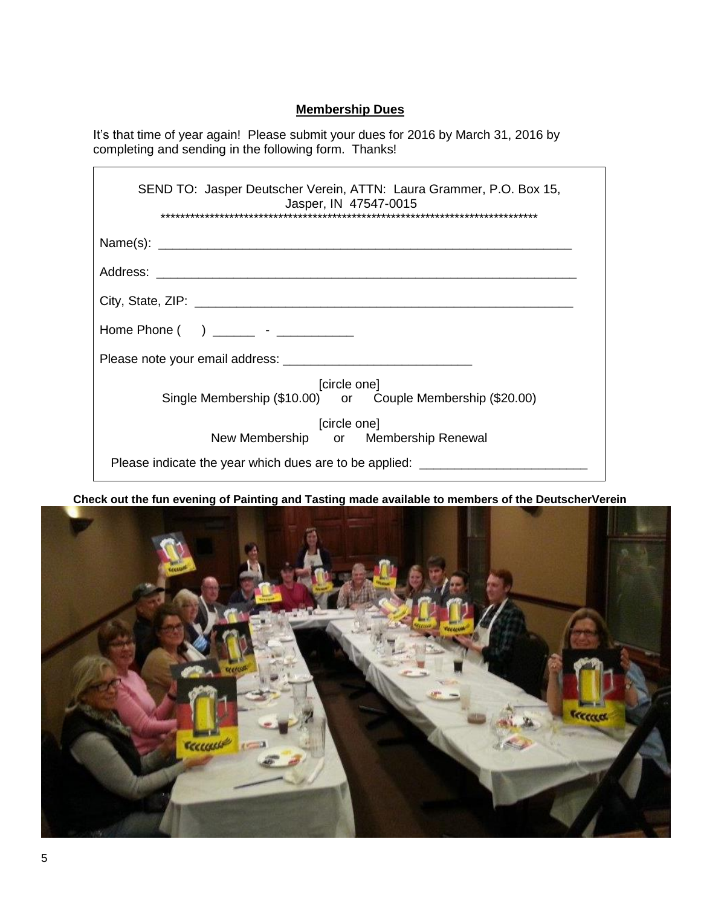# **Membership Dues**

It's that time of year again! Please submit your dues for 2016 by March 31, 2016 by completing and sending in the following form. Thanks!

| SEND TO: Jasper Deutscher Verein, ATTN: Laura Grammer, P.O. Box 15,<br>Jasper, IN 47547-0015<br>**********************************<br>**********************************                                                                                                                                                           |
|------------------------------------------------------------------------------------------------------------------------------------------------------------------------------------------------------------------------------------------------------------------------------------------------------------------------------------|
|                                                                                                                                                                                                                                                                                                                                    |
|                                                                                                                                                                                                                                                                                                                                    |
|                                                                                                                                                                                                                                                                                                                                    |
| Home Phone $( )$ $)$ $\qquad$ $\qquad$ $\qquad$ $\qquad$ $\qquad$ $\qquad$ $\qquad$ $\qquad$ $\qquad$ $\qquad$ $\qquad$ $\qquad$ $\qquad$ $\qquad$ $\qquad$ $\qquad$ $\qquad$ $\qquad$ $\qquad$ $\qquad$ $\qquad$ $\qquad$ $\qquad$ $\qquad$ $\qquad$ $\qquad$ $\qquad$ $\qquad$ $\qquad$ $\qquad$ $\qquad$ $\qquad$ $\qquad$ $\q$ |
|                                                                                                                                                                                                                                                                                                                                    |
| [circle one]<br>Single Membership (\$10.00) or Couple Membership (\$20.00)                                                                                                                                                                                                                                                         |
| [circle one]<br>New Membership or Membership Renewal                                                                                                                                                                                                                                                                               |
| Please indicate the year which dues are to be applied:                                                                                                                                                                                                                                                                             |

**Check out the fun evening of Painting and Tasting made available to members of the DeutscherVerein** 



 $\mathsf{r}$